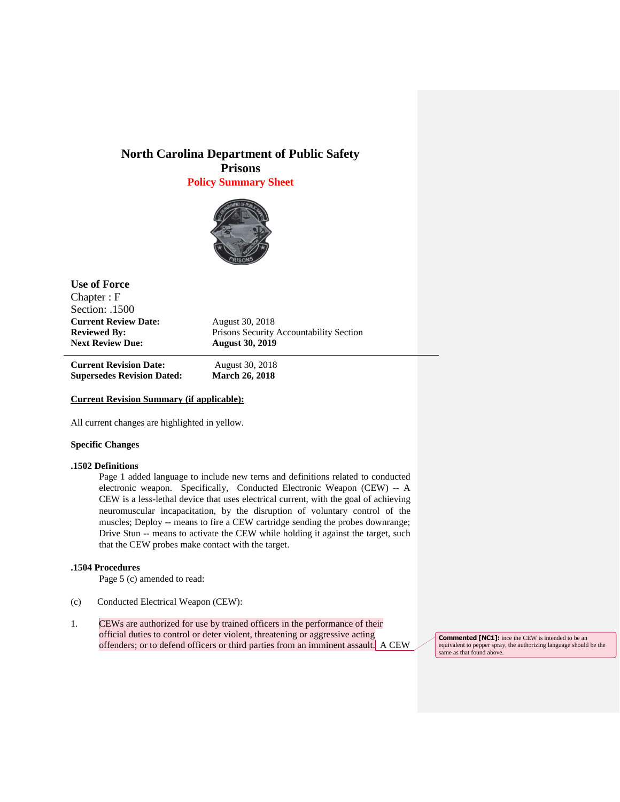# **North Carolina Department of Public Safety Prisons Policy Summary Sheet**



| <b>Use of Force</b>                                                                                           |                                                                                      |                                   |                       |
|---------------------------------------------------------------------------------------------------------------|--------------------------------------------------------------------------------------|-----------------------------------|-----------------------|
| Chapter: F<br>Section: .1500<br><b>Current Review Date:</b><br><b>Reviewed By:</b><br><b>Next Review Due:</b> |                                                                                      |                                   |                       |
|                                                                                                               | August 30, 2018<br>Prisons Security Accountability Section<br><b>August 30, 2019</b> |                                   |                       |
|                                                                                                               |                                                                                      | <b>Current Revision Date:</b>     | August 30, 2018       |
|                                                                                                               |                                                                                      | <b>Supersedes Revision Dated:</b> | <b>March 26, 2018</b> |

#### **Current Revision Summary (if applicable):**

All current changes are highlighted in yellow.

### **Specific Changes**

 $\overline{a}$ 

#### **.1502 Definitions**

Page 1 added language to include new terns and definitions related to conducted electronic weapon. Specifically, Conducted Electronic Weapon (CEW) -- A CEW is a less-lethal device that uses electrical current, with the goal of achieving neuromuscular incapacitation, by the disruption of voluntary control of the muscles; Deploy -- means to fire a CEW cartridge sending the probes downrange; Drive Stun -- means to activate the CEW while holding it against the target, such that the CEW probes make contact with the target.

## **.1504 Procedures**

Page 5 (c) amended to read:

- (c) Conducted Electrical Weapon (CEW):
- 1. CEWs are authorized for use by trained officers in the performance of their official duties to control or deter violent, threatening or aggressive acting offenders; or to defend officers or third parties from an imminent assault. A CEW

**Commented [NC1]:** ince the CEW is intended to be an equivalent to pepper spray, the authorizing language should be the same as that found above.